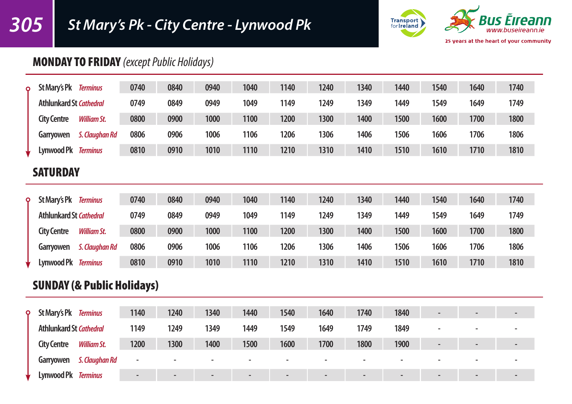# *305 St Mary's Pk - City Centre - Lynwood Pk*



## MONDAY TO FRIDAY *(except Public Holidays)*

| Ō | St Mary's Pk                   | <b>Terminus</b>    | 0740 | 0840 | 0940 | 1040 | 1140 | 1240 | 1340 | 1440 | 1540 | 1640 | 1740 |
|---|--------------------------------|--------------------|------|------|------|------|------|------|------|------|------|------|------|
|   | <b>Athlunkard St Cathedral</b> |                    | 0749 | 0849 | 0949 | 1049 | 1149 | 1249 | 1349 | 1449 | 1549 | 1649 | 1749 |
|   | <b>City Centre</b>             | <b>William St.</b> | 0800 | 0900 | 1000 | 1100 | 1200 | 1300 | 1400 | 1500 | 1600 | 1700 | 1800 |
|   | Garryowen                      | S. Claughan Rd     | 0806 | 0906 | 1006 | 1106 | 1206 | 1306 | 1406 | 1506 | 1606 | 1706 | 1806 |
|   | Lynwood Pk                     | <b>Terminus</b>    | 0810 | 0910 | 1010 | 1110 | 1210 | 1310 | 1410 | 1510 | 1610 | 1710 | 1810 |

#### **SATURDAY**

| $\circ$ | St Mary's Pk                   | <b>Terminus</b>    | 0740 | 0840 | 0940 | 1040 | 1140 | 1240 | 1340 | 1440 | 1540 | 1640 | 1740 |
|---------|--------------------------------|--------------------|------|------|------|------|------|------|------|------|------|------|------|
|         | <b>Athlunkard St Cathedral</b> |                    | 0749 | 0849 | 0949 | 1049 | 1149 | 1249 | 1349 | 1449 | 1549 | 1649 | 1749 |
|         | <b>City Centre</b>             | <b>William St.</b> | 0800 | 0900 | 1000 | 1100 | 1200 | 1300 | 1400 | 1500 | 1600 | 1700 | 1800 |
|         | Garryowen                      | S. Clauahan Rd     | 0806 | 0906 | 1006 | 1106 | 1206 | 1306 | 1406 | 1506 | 1606 | 1706 | 1806 |
|         | Lynwood Pk                     | <b>Terminus</b>    | 0810 | 0910 | 1010 | 1110 | 1210 | 1310 | 1410 | 1510 | 1610 | 1710 | 1810 |

## SUNDAY (& Public Holidays)

| $\circ$ | St Mary's Pk Terminus          |                    | 1140                     | 1240 | 1340   | 1440                     | 1540                     | 1640                     | 1740                     | 1840           | $\overline{\phantom{0}}$ | $\overline{\phantom{a}}$ |
|---------|--------------------------------|--------------------|--------------------------|------|--------|--------------------------|--------------------------|--------------------------|--------------------------|----------------|--------------------------|--------------------------|
|         | <b>Athlunkard St Cathedral</b> |                    | 1149                     | 1249 | 1349   | 1449                     | 1549                     | 1649                     | 1749                     | 1849           |                          |                          |
|         | <b>City Centre</b>             | <b>William St.</b> | 1200                     | 1300 | 1400   | 1500                     | 1600                     | 1700                     | 1800                     | 1900           | $\overline{\phantom{0}}$ | $\overline{\phantom{0}}$ |
|         | Garryowen                      | S. Claughan Rd     | $\overline{\phantom{a}}$ |      |        |                          |                          |                          |                          |                |                          |                          |
|         | Lynwood Pk Terminus            |                    | $\blacksquare$           |      | $\sim$ | $\overline{\phantom{a}}$ | $\overline{\phantom{0}}$ | $\overline{\phantom{0}}$ | $\overline{\phantom{0}}$ | $\blacksquare$ | $\blacksquare$           | $\overline{\phantom{0}}$ |